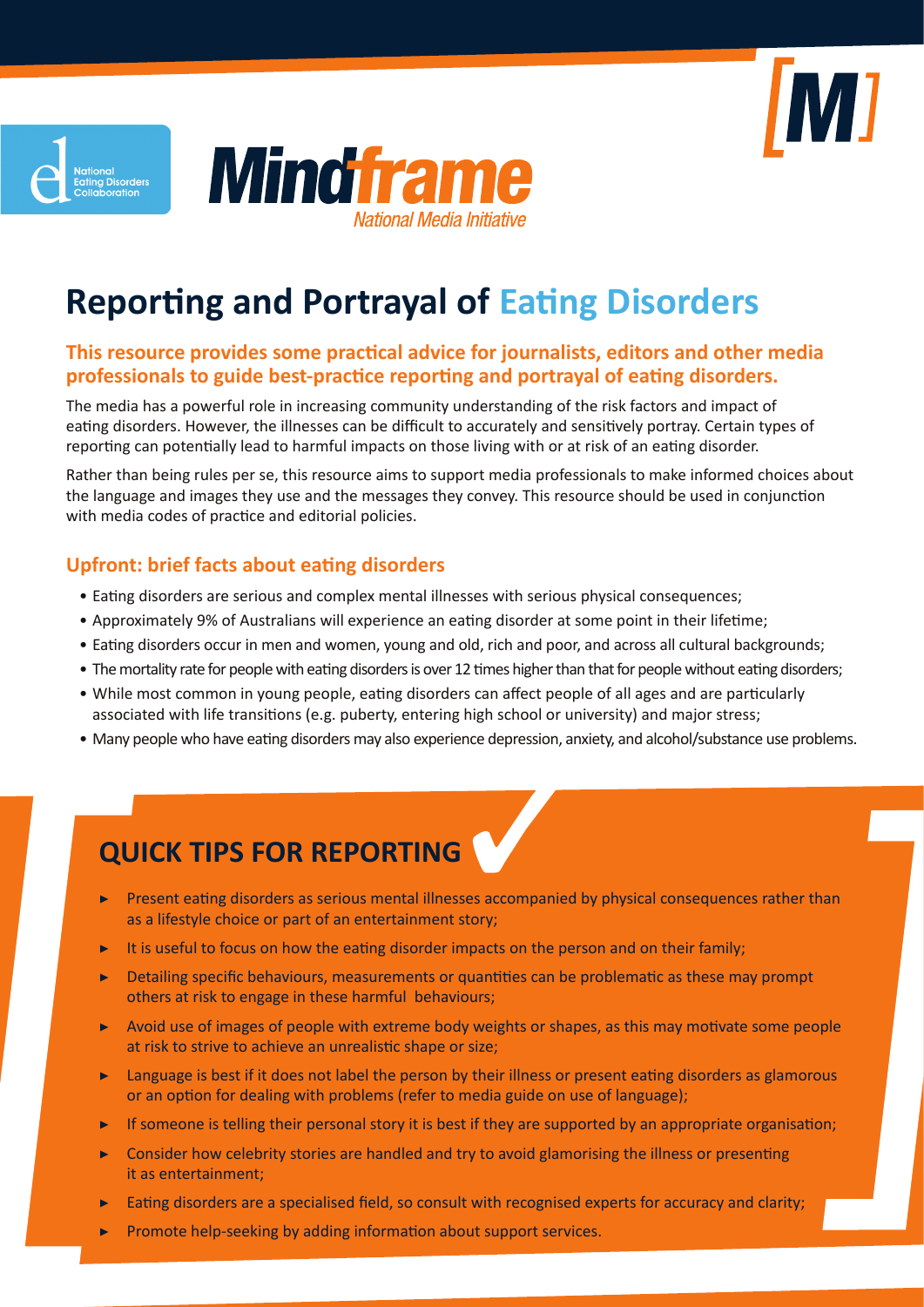





# **Reporting and Portrayal of Eating Disorders**

#### **This resource provides some practical advice for journalists, editors and other media professionals to guide best-practice reporting and portrayal of eating disorders.**

The media has a powerful role in increasing community understanding of the risk factors and impact of eating disorders. However, the illnesses can be difficult to accurately and sensitively portray. Certain types of reporting can potentially lead to harmful impacts on those living with or at risk of an eating disorder.

Rather than being rules per se, this resource aims to support media professionals to make informed choices about the language and images they use and the messages they convey. This resource should be used in conjunction with media codes of practice and editorial policies.

### **Upfront: brief facts about eating disorders**

- Eating disorders are serious and complex mental illnesses with serious physical consequences;
- Approximately 9% of Australians will experience an eating disorder at some point in their lifetime;
- Eating disorders occur in men and women, young and old, rich and poor, and across all cultural backgrounds;
- The mortality rate for people with eating disorders is over 12 times higher than that for people without eating disorders;
- While most common in young people, eating disorders can affect people of all ages and are particularly associated with life transitions (e.g. puberty, entering high school or university) and major stress;
- Many people who have eating disorders may also experience depression, anxiety, and alcohol/substance use problems.

# **QUICK TIPS FOR REPORTING**

- Present eating disorders as serious mental illnesses accompanied by physical consequences rather than as a lifestyle choice or part of an entertainment story;
- It is useful to focus on how the eating disorder impacts on the person and on their family;
- Detailing specific behaviours, measurements or quantities can be problematic as these may prompt others at risk to engage in these harmful behaviours;
- Avoid use of images of people with extreme body weights or shapes, as this may motivate some people at risk to strive to achieve an unrealistic shape or size;
- ▶ Language is best if it does not label the person by their illness or present eating disorders as glamorous or an option for dealing with problems (refer to media guide on use of language);
- If someone is telling their personal story it is best if they are supported by an appropriate organisation;
- Consider how celebrity stories are handled and try to avoid glamorising the illness or presenting it as entertainment;
- Eating disorders are a specialised field, so consult with recognised experts for accuracy and clarity;
- Promote help-seeking by adding information about support services.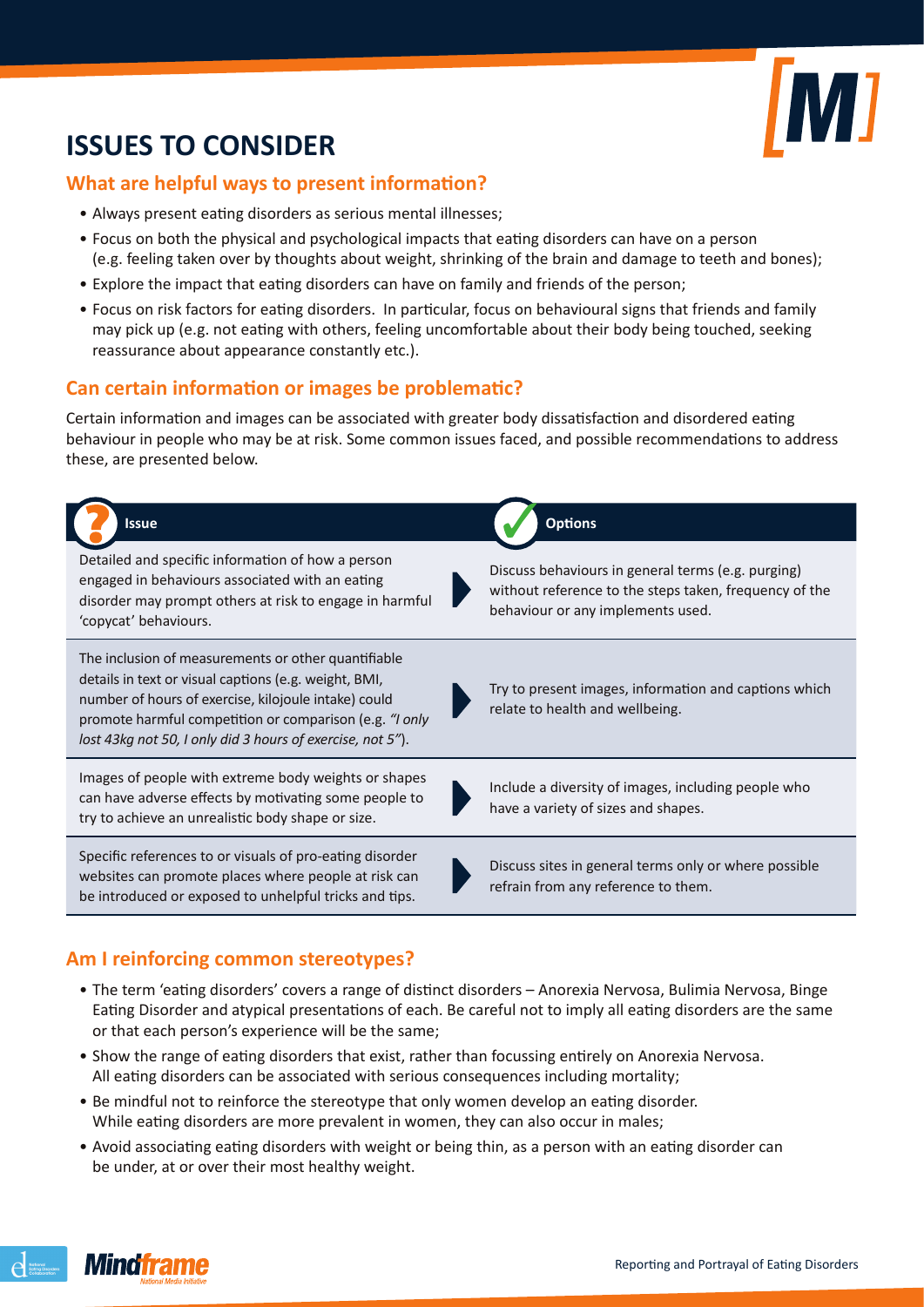

# **ISSUES TO CONSIDER**

#### **What are helpful ways to present information?**

- Always present eating disorders as serious mental illnesses;
- Focus on both the physical and psychological impacts that eating disorders can have on a person (e.g. feeling taken over by thoughts about weight, shrinking of the brain and damage to teeth and bones);
- Explore the impact that eating disorders can have on family and friends of the person;
- Focus on risk factors for eating disorders. In particular, focus on behavioural signs that friends and family may pick up (e.g. not eating with others, feeling uncomfortable about their body being touched, seeking reassurance about appearance constantly etc.).

#### **Can certain information or images be problematic?**

Certain information and images can be associated with greater body dissatisfaction and disordered eating behaviour in people who may be at risk. Some common issues faced, and possible recommendations to address these, are presented below.



#### **Am I reinforcing common stereotypes?**

- The term 'eating disorders' covers a range of distinct disorders Anorexia Nervosa, Bulimia Nervosa, Binge Eating Disorder and atypical presentations of each. Be careful not to imply all eating disorders are the same or that each person's experience will be the same;
- Show the range of eating disorders that exist, rather than focussing entirely on Anorexia Nervosa. All eating disorders can be associated with serious consequences including mortality;
- Be mindful not to reinforce the stereotype that only women develop an eating disorder. While eating disorders are more prevalent in women, they can also occur in males;
- Avoid associating eating disorders with weight or being thin, as a person with an eating disorder can be under, at or over their most healthy weight.

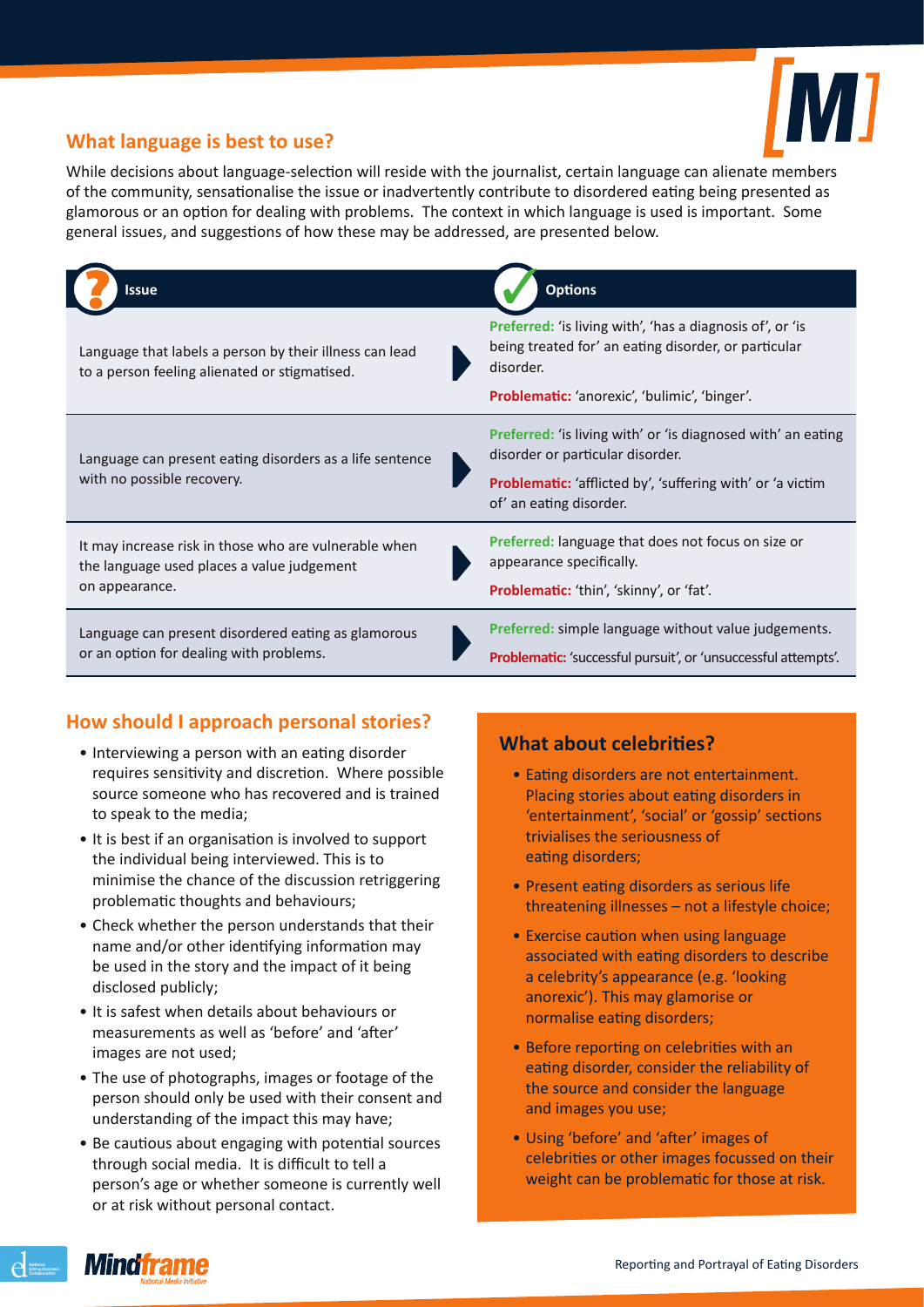

## **What language is best to use?**

While decisions about language-selection will reside with the journalist, certain language can alienate members of the community, sensationalise the issue or inadvertently contribute to disordered eating being presented as glamorous or an option for dealing with problems. The context in which language is used is important. Some general issues, and suggestions of how these may be addressed, are presented below.

| Issue                                                                                                                 | <b>Options</b>                                                                                                                                                                            |
|-----------------------------------------------------------------------------------------------------------------------|-------------------------------------------------------------------------------------------------------------------------------------------------------------------------------------------|
| Language that labels a person by their illness can lead<br>to a person feeling alienated or stigmatised.              | <b>Preferred:</b> 'is living with', 'has a diagnosis of', or 'is<br>being treated for' an eating disorder, or particular<br>disorder.<br>Problematic: 'anorexic', 'bulimic', 'binger'.    |
| Language can present eating disorders as a life sentence<br>with no possible recovery.                                | Preferred: 'is living with' or 'is diagnosed with' an eating<br>disorder or particular disorder.<br>Problematic: 'afflicted by', 'suffering with' or 'a victim<br>of' an eating disorder. |
| It may increase risk in those who are vulnerable when<br>the language used places a value judgement<br>on appearance. | <b>Preferred:</b> language that does not focus on size or<br>appearance specifically.<br><b>Problematic:</b> 'thin', 'skinny', or 'fat'.                                                  |
| Language can present disordered eating as glamorous<br>or an option for dealing with problems.                        | Preferred: simple language without value judgements.<br>Problematic: 'successful pursuit', or 'unsuccessful attempts'.                                                                    |

## **How should I approach personal stories?**

- Interviewing a person with an eating disorder requires sensitivity and discretion. Where possible source someone who has recovered and is trained to speak to the media;
- It is best if an organisation is involved to support the individual being interviewed. This is to minimise the chance of the discussion retriggering problematic thoughts and behaviours;
- Check whether the person understands that their name and/or other identifying information may be used in the story and the impact of it being disclosed publicly;
- It is safest when details about behaviours or measurements as well as 'before' and 'after' images are not used;
- The use of photographs, images or footage of the person should only be used with their consent and understanding of the impact this may have;
- Be cautious about engaging with potential sources through social media. It is difficult to tell a person's age or whether someone is currently well or at risk without personal contact.

## **What about celebrities?**

- Eating disorders are not entertainment. Placing stories about eating disorders in 'entertainment', 'social' or 'gossip' sections trivialises the seriousness of eating disorders;
- Present eating disorders as serious life threatening illnesses – not a lifestyle choice;
- Exercise caution when using language associated with eating disorders to describe a celebrity's appearance (e.g. 'looking anorexic'). This may glamorise or normalise eating disorders;
- Before reporting on celebrities with an eating disorder, consider the reliability of the source and consider the language and images you use;
- Using 'before' and 'after' images of celebrities or other images focussed on their weight can be problematic for those at risk.

 $\sum_{\substack{\text{Kultong } C}}$